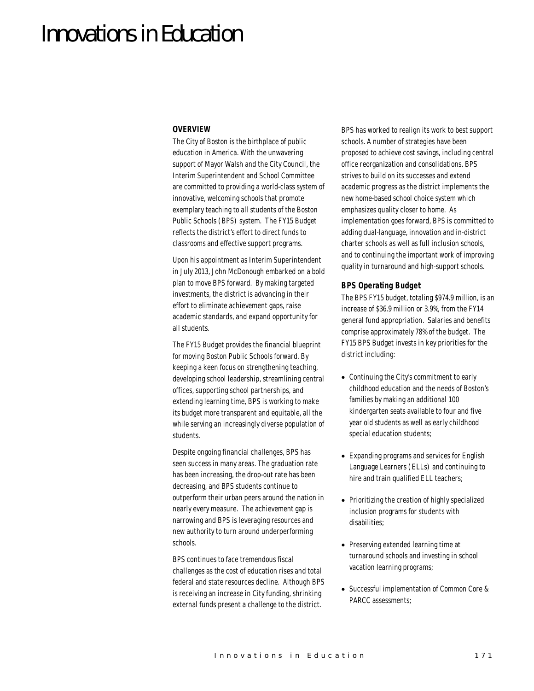# Innovations in Education

#### *OVERVIEW*

The City of Boston is the birthplace of public education in America. With the unwavering support of Mayor Walsh and the City Council, the Interim Superintendent and School Committee are committed to providing a world-class system of innovative, welcoming schools that promote exemplary teaching to all students of the Boston Public Schools (BPS) system. The FY15 Budget reflects the district's effort to direct funds to classrooms and effective support programs.

Upon his appointment as Interim Superintendent in July 2013, John McDonough embarked on a bold plan to move BPS forward. By making targeted investments, the district is advancing in their effort to eliminate achievement gaps, raise academic standards, and expand opportunity for all students.

The FY15 Budget provides the financial blueprint for moving Boston Public Schools forward. By keeping a keen focus on strengthening teaching, developing school leadership, streamlining central offices, supporting school partnerships, and extending learning time, BPS is working to make its budget more transparent and equitable, all the while serving an increasingly diverse population of students.

Despite ongoing financial challenges, BPS has seen success in many areas. The graduation rate has been increasing, the drop-out rate has been decreasing, and BPS students continue to outperform their urban peers around the nation in nearly every measure. The achievement gap is narrowing and BPS is leveraging resources and new authority to turn around underperforming schools.

BPS continues to face tremendous fiscal challenges as the cost of education rises and total federal and state resources decline. Although BPS is receiving an increase in City funding, shrinking external funds present a challenge to the district.

BPS has worked to realign its work to best support schools. A number of strategies have been proposed to achieve cost savings, including central office reorganization and consolidations. BPS strives to build on its successes and extend academic progress as the district implements the new home-based school choice system which emphasizes quality closer to home. As implementation goes forward, BPS is committed to adding dual-language, innovation and in-district charter schools as well as full inclusion schools, and to continuing the important work of improving quality in turnaround and high-support schools.

#### *BPS Operating Budget*

The BPS FY15 budget, totaling \$974.9 million, is an increase of \$36.9 million or 3.9%, from the FY14 general fund appropriation. Salaries and benefits comprise approximately 78% of the budget. The FY15 BPS Budget invests in key priorities for the district including:

- Continuing the City's commitment to early childhood education and the needs of Boston's families by making an additional 100 kindergarten seats available to four and five year old students as well as early childhood special education students;
- Expanding programs and services for English Language Learners (ELLs) and continuing to hire and train qualified ELL teachers;
- Prioritizing the creation of highly specialized inclusion programs for students with disabilities;
- Preserving extended learning time at turnaround schools and investing in school vacation learning programs;
- Successful implementation of Common Core & PARCC assessments;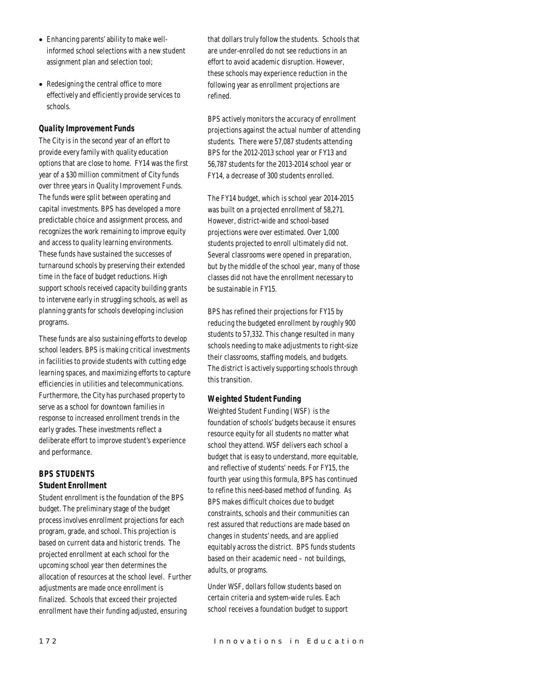- Enhancing parents' ability to make wellinformed school selections with a new student assignment plan and selection tool;
- Redesigning the central office to more effectively and efficiently provide services to schools.

# *Quality Improvement Funds*

The City is in the second year of an effort to provide every family with quality education options that are close to home. FY14 was the first year of a \$30 million commitment of City funds over three years in Quality Improvement Funds. The funds were split between operating and capital investments. BPS has developed a more predictable choice and assignment process, and recognizes the work remaining to improve equity and access to quality learning environments. These funds have sustained the successes of turnaround schools by preserving their extended time in the face of budget reductions. High support schools received capacity building grants to intervene early in struggling schools, as well as planning grants for schools developing inclusion programs.

These funds are also sustaining efforts to develop school leaders. BPS is making critical investments in facilities to provide students with cutting edge learning spaces, and maximizing efforts to capture efficiencies in utilities and telecommunications. Furthermore, the City has purchased property to serve as a school for downtown families in response to increased enrollment trends in the early grades. These investments reflect a deliberate effort to improve student's experience and performance.

# *BPS STUDENTS Student Enrollment*

Student enrollment is the foundation of the BPS budget. The preliminary stage of the budget process involves enrollment projections for each program, grade, and school. This projection is based on current data and historic trends. The projected enrollment at each school for the upcoming school year then determines the allocation of resources at the school level. Further adjustments are made once enrollment is finalized. Schools that exceed their projected enrollment have their funding adjusted, ensuring

that dollars truly follow the students. Schools that are under-enrolled do not see reductions in an effort to avoid academic disruption. However, these schools may experience reduction in the following year as enrollment projections are refined.

BPS actively monitors the accuracy of enrollment projections against the actual number of attending students. There were 57,087 students attending BPS for the 2012-2013 school year or FY13 and 56,787 students for the 2013-2014 school year or FY14, a decrease of 300 students enrolled.

The FY14 budget, which is school year 2014-2015 was built on a projected enrollment of 58,271. However, district-wide and school-based projections were over estimated. Over 1,000 students projected to enroll ultimately did not. Several classrooms were opened in preparation, but by the middle of the school year, many of those classes did not have the enrollment necessary to be sustainable in FY15.

BPS has refined their projections for FY15 by reducing the budgeted enrollment by roughly 900 students to 57,332. This change resulted in many schools needing to make adjustments to right-size their classrooms, staffing models, and budgets. The district is actively supporting schools through this transition.

## *Weighted Student Funding*

Weighted Student Funding (WSF) is the foundation of schools' budgets because it ensures resource equity for all students no matter what school they attend. WSF delivers each school a budget that is easy to understand, more equitable, and reflective of students' needs. For FY15, the fourth year using this formula, BPS has continued to refine this need-based method of funding. As BPS makes difficult choices due to budget constraints, schools and their communities can rest assured that reductions are made based on changes in students' needs, and are applied equitably across the district. BPS funds students based on their academic need – not buildings, adults, or programs.

Under WSF, dollars follow students based on certain criteria and system-wide rules. Each school receives a foundation budget to support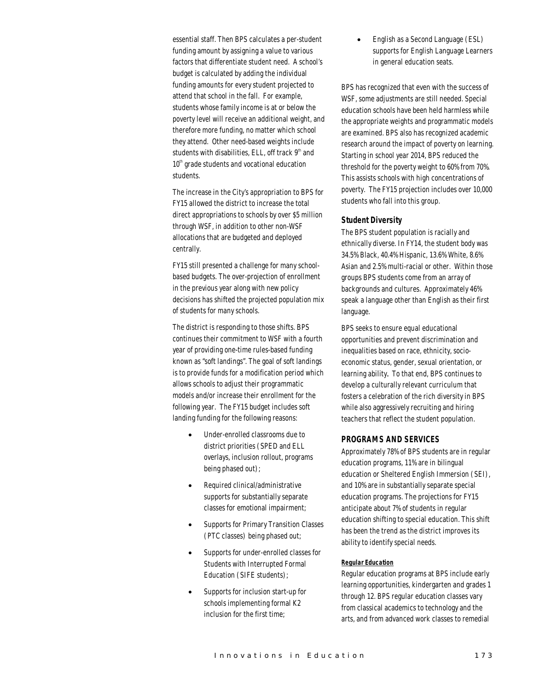essential staff. Then BPS calculates a per-student funding amount by assigning a value to various factors that differentiate student need. A school's budget is calculated by adding the individual funding amounts for every student projected to attend that school in the fall. For example, students whose family income is at or below the poverty level will receive an additional weight, and therefore more funding, no matter which school they attend. Other need-based weights include students with disabilities, ELL, off track  $9<sup>th</sup>$  and  $10<sup>th</sup>$  grade students and vocational education students.

The increase in the City's appropriation to BPS for FY15 allowed the district to increase the total direct appropriations to schools by over \$5 million through WSF, in addition to other non-WSF allocations that are budgeted and deployed centrally.

FY15 still presented a challenge for many schoolbased budgets. The over-projection of enrollment in the previous year along with new policy decisions has shifted the projected population mix of students for many schools.

The district is responding to those shifts. BPS continues their commitment to WSF with a fourth year of providing one-time rules-based funding known as "soft landings". The goal of soft landings is to provide funds for a modification period which allows schools to adjust their programmatic models and/or increase their enrollment for the following year. The FY15 budget includes soft landing funding for the following reasons:

- Under-enrolled classrooms due to district priorities (SPED and ELL overlays, inclusion rollout, programs being phased out);
- Required clinical/administrative supports for substantially separate classes for emotional impairment;
- Supports for Primary Transition Classes (PTC classes) being phased out;
- Supports for under-enrolled classes for Students with Interrupted Formal Education (SIFE students);
- Supports for inclusion start-up for schools implementing formal K2 inclusion for the first time;

• English as a Second Language (ESL) supports for English Language Learners in general education seats.

BPS has recognized that even with the success of WSF, some adjustments are still needed. Special education schools have been held harmless while the appropriate weights and programmatic models are examined. BPS also has recognized academic research around the impact of poverty on learning. Starting in school year 2014, BPS reduced the threshold for the poverty weight to 60% from 70%. This assists schools with high concentrations of poverty. The FY15 projection includes over 10,000 students who fall into this group.

#### *Student Diversity*

The BPS student population is racially and ethnically diverse. In FY14, the student body was 34.5% Black, 40.4% Hispanic, 13.6% White, 8.6% Asian and 2.5% multi-racial or other. Within those groups BPS students come from an array of backgrounds and cultures. Approximately 46% speak a language other than English as their first language.

BPS seeks to ensure equal educational opportunities and prevent discrimination and inequalities based on race, ethnicity, socioeconomic status, gender, sexual orientation, or learning ability. To that end, BPS continues to develop a culturally relevant curriculum that fosters a celebration of the rich diversity in BPS while also aggressively recruiting and hiring teachers that reflect the student population.

#### *PROGRAMS AND SERVICES*

Approximately 78% of BPS students are in regular education programs, 11% are in bilingual education or Sheltered English Immersion (SEI), and 10% are in substantially separate special education programs. The projections for FY15 anticipate about 7% of students in regular education shifting to special education. This shift has been the trend as the district improves its ability to identify special needs.

#### *Regular Education*

Regular education programs at BPS include early learning opportunities, kindergarten and grades 1 through 12. BPS regular education classes vary from classical academics to technology and the arts, and from advanced work classes to remedial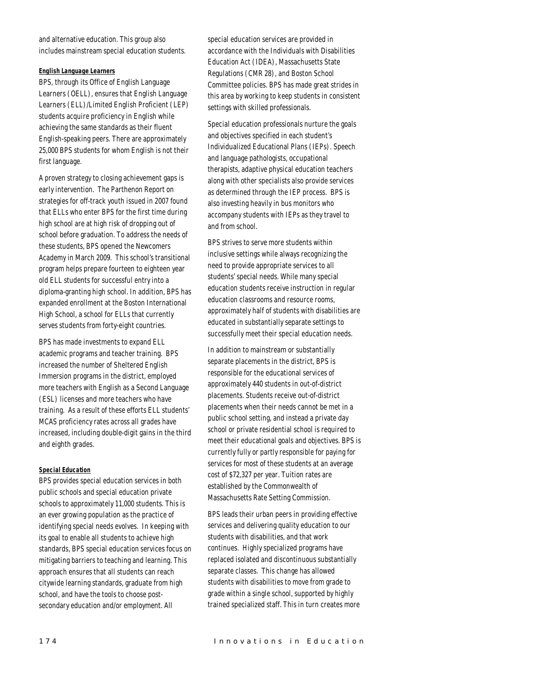and alternative education. This group also includes mainstream special education students.

#### *English Language Learners*

BPS, through its Office of English Language Learners (OELL), ensures that English Language Learners (ELL)/Limited English Proficient (LEP) students acquire proficiency in English while achieving the same standards as their fluent English-speaking peers. There are approximately 25,000 BPS students for whom English is not their first language.

A proven strategy to closing achievement gaps is early intervention. The Parthenon Report on strategies for off-track youth issued in 2007 found that ELLs who enter BPS for the first time during high school are at high risk of dropping out of school before graduation. To address the needs of these students, BPS opened the Newcomers Academy in March 2009. This school's transitional program helps prepare fourteen to eighteen year old ELL students for successful entry into a diploma-granting high school. In addition, BPS has expanded enrollment at the Boston International High School, a school for ELLs that currently serves students from forty-eight countries.

BPS has made investments to expand ELL academic programs and teacher training. BPS increased the number of Sheltered English Immersion programs in the district, employed more teachers with English as a Second Language (ESL) licenses and more teachers who have training. As a result of these efforts ELL students' MCAS proficiency rates across all grades have increased, including double-digit gains in the third and eighth grades.

# *Special Education*

BPS provides special education services in both public schools and special education private schools to approximately 11,000 students. This is an ever growing population as the practice of identifying special needs evolves. In keeping with its goal to enable all students to achieve high standards, BPS special education services focus on mitigating barriers to teaching and learning. This approach ensures that all students can reach citywide learning standards, graduate from high school, and have the tools to choose postsecondary education and/or employment. All

special education services are provided in accordance with the Individuals with Disabilities Education Act (IDEA), Massachusetts State Regulations (CMR 28), and Boston School Committee policies. BPS has made great strides in this area by working to keep students in consistent settings with skilled professionals.

Special education professionals nurture the goals and objectives specified in each student's Individualized Educational Plans (IEPs). Speech and language pathologists, occupational therapists, adaptive physical education teachers along with other specialists also provide services as determined through the IEP process. BPS is also investing heavily in bus monitors who accompany students with IEPs as they travel to and from school.

BPS strives to serve more students within inclusive settings while always recognizing the need to provide appropriate services to all students' special needs. While many special education students receive instruction in regular education classrooms and resource rooms, approximately half of students with disabilities are educated in substantially separate settings to successfully meet their special education needs.

In addition to mainstream or substantially separate placements in the district, BPS is responsible for the educational services of approximately 440 students in out-of-district placements. Students receive out-of-district placements when their needs cannot be met in a public school setting, and instead a private day school or private residential school is required to meet their educational goals and objectives. BPS is currently fully or partly responsible for paying for services for most of these students at an average cost of \$72,327 per year. Tuition rates are established by the Commonwealth of Massachusetts Rate Setting Commission.

BPS leads their urban peers in providing effective services and delivering quality education to our students with disabilities, and that work continues. Highly specialized programs have replaced isolated and discontinuous substantially separate classes. This change has allowed students with disabilities to move from grade to grade within a single school, supported by highly trained specialized staff. This in turn creates more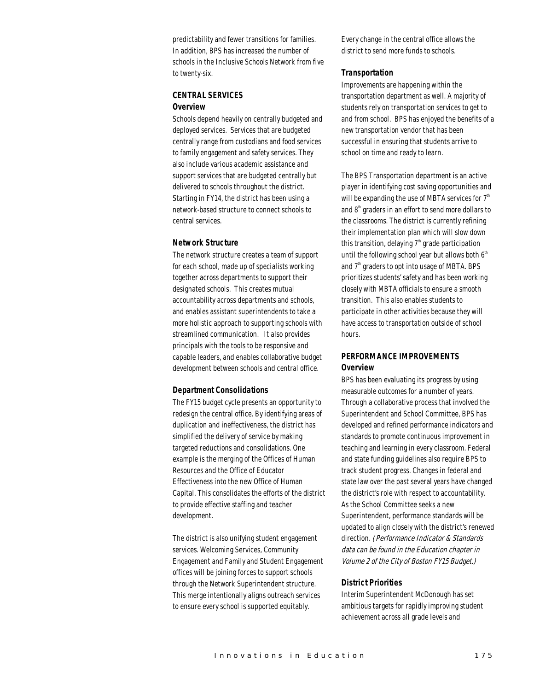predictability and fewer transitions for families. In addition, BPS has increased the number of schools in the Inclusive Schools Network from five to twenty-six.

# *CENTRAL SERVICES Overview*

Schools depend heavily on centrally budgeted and deployed services. Services that are budgeted centrally range from custodians and food services to family engagement and safety services. They also include various academic assistance and support services that are budgeted centrally but delivered to schools throughout the district. Starting in FY14, the district has been using a network-based structure to connect schools to central services.

# *Network Structure*

The network structure creates a team of support for each school, made up of specialists working together across departments to support their designated schools. This creates mutual accountability across departments and schools, and enables assistant superintendents to take a more holistic approach to supporting schools with streamlined communication. It also provides principals with the tools to be responsive and capable leaders, and enables collaborative budget development between schools and central office.

#### *Department Consolidations*

The FY15 budget cycle presents an opportunity to redesign the central office. By identifying areas of duplication and ineffectiveness, the district has simplified the delivery of service by making targeted reductions and consolidations. One example is the merging of the Offices of Human Resources and the Office of Educator Effectiveness into the new Office of Human Capital. This consolidates the efforts of the district to provide effective staffing and teacher development.

The district is also unifying student engagement services. Welcoming Services, Community Engagement and Family and Student Engagement offices will be joining forces to support schools through the Network Superintendent structure. This merge intentionally aligns outreach services to ensure every school is supported equitably.

Every change in the central office allows the district to send more funds to schools.

#### *Transportation*

Improvements are happening within the transportation department as well. A majority of students rely on transportation services to get to and from school. BPS has enjoyed the benefits of a new transportation vendor that has been successful in ensuring that students arrive to school on time and ready to learn.

The BPS Transportation department is an active player in identifying cost saving opportunities and will be expanding the use of MBTA services for  $7<sup>th</sup>$ and  $8<sup>th</sup>$  graders in an effort to send more dollars to the classrooms. The district is currently refining their implementation plan which will slow down this transition, delaying  $7<sup>th</sup>$  grade participation until the following school year but allows both  $6<sup>th</sup>$ and  $7<sup>th</sup>$  graders to opt into usage of MBTA. BPS prioritizes students' safety and has been working closely with MBTA officials to ensure a smooth transition. This also enables students to participate in other activities because they will have access to transportation outside of school hours.

# *PERFORMANCE IMPROVEMENTS Overview*

BPS has been evaluating its progress by using measurable outcomes for a number of years. Through a collaborative process that involved the Superintendent and School Committee, BPS has developed and refined performance indicators and standards to promote continuous improvement in teaching and learning in every classroom. Federal and state funding guidelines also require BPS to track student progress. Changes in federal and state law over the past several years have changed the district's role with respect to accountability. As the School Committee seeks a new Superintendent, performance standards will be updated to align closely with the district's renewed direction. (Performance Indicator & Standards data can be found in the Education chapter in Volume 2 of the City of Boston FY15 Budget.)

#### *District Priorities*

Interim Superintendent McDonough has set ambitious targets for rapidly improving student achievement across all grade levels and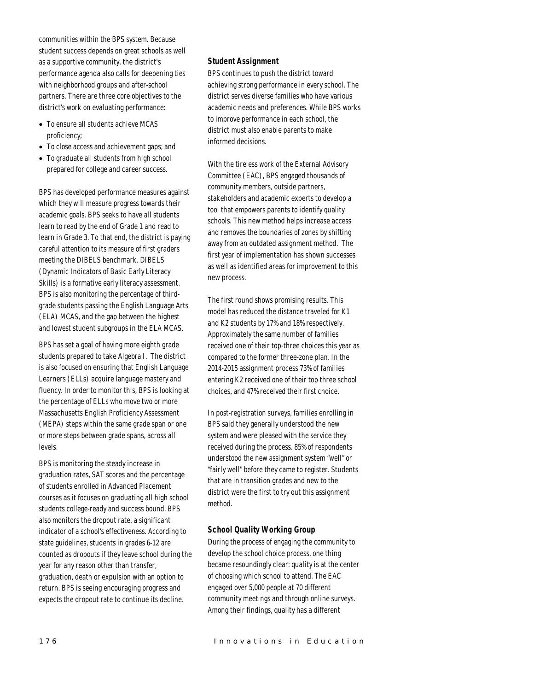communities within the BPS system. Because student success depends on great schools as well as a supportive community, the district's performance agenda also calls for deepening ties with neighborhood groups and after-school partners. There are three core objectives to the district's work on evaluating performance:

- To ensure all students achieve MCAS proficiency;
- To close access and achievement gaps; and
- To graduate all students from high school prepared for college and career success.

BPS has developed performance measures against which they will measure progress towards their academic goals. BPS seeks to have all students learn to read by the end of Grade 1 and read to learn in Grade 3. To that end, the district is paying careful attention to its measure of first graders meeting the DIBELS benchmark. DIBELS (Dynamic Indicators of Basic Early Literacy Skills) is a formative early literacy assessment. BPS is also monitoring the percentage of thirdgrade students passing the English Language Arts (ELA) MCAS, and the gap between the highest and lowest student subgroups in the ELA MCAS.

BPS has set a goal of having more eighth grade students prepared to take Algebra I. The district is also focused on ensuring that English Language Learners (ELLs) acquire language mastery and fluency. In order to monitor this, BPS is looking at the percentage of ELLs who move two or more Massachusetts English Proficiency Assessment (MEPA) steps within the same grade span or one or more steps between grade spans, across all levels.

BPS is monitoring the steady increase in graduation rates, SAT scores and the percentage of students enrolled in Advanced Placement courses as it focuses on graduating all high school students college-ready and success bound. BPS also monitors the dropout rate, a significant indicator of a school's effectiveness. According to state guidelines, students in grades 6-12 are counted as dropouts if they leave school during the year for any reason other than transfer, graduation, death or expulsion with an option to return. BPS is seeing encouraging progress and expects the dropout rate to continue its decline.

# *Student Assignment*

BPS continues to push the district toward achieving strong performance in every school. The district serves diverse families who have various academic needs and preferences. While BPS works to improve performance in each school, the district must also enable parents to make informed decisions.

With the tireless work of the External Advisory Committee (EAC), BPS engaged thousands of community members, outside partners, stakeholders and academic experts to develop a tool that empowers parents to identify quality schools. This new method helps increase access and removes the boundaries of zones by shifting away from an outdated assignment method. The first year of implementation has shown successes as well as identified areas for improvement to this new process.

The first round shows promising results. This model has reduced the distance traveled for K1 and K2 students by 17% and 18% respectively. Approximately the same number of families received one of their top-three choices this year as compared to the former three-zone plan. In the 2014-2015 assignment process 73% of families entering K2 received one of their top three school choices, and 47% received their first choice.

In post-registration surveys, families enrolling in BPS said they generally understood the new system and were pleased with the service they received during the process. 85% of respondents understood the new assignment system "well" or "fairly well" before they came to register. Students that are in transition grades and new to the district were the first to try out this assignment method.

# *School Quality Working Group*

During the process of engaging the community to develop the school choice process, one thing became resoundingly clear: quality is at the center of choosing which school to attend. The EAC engaged over 5,000 people at 70 different community meetings and through online surveys. Among their findings, quality has a different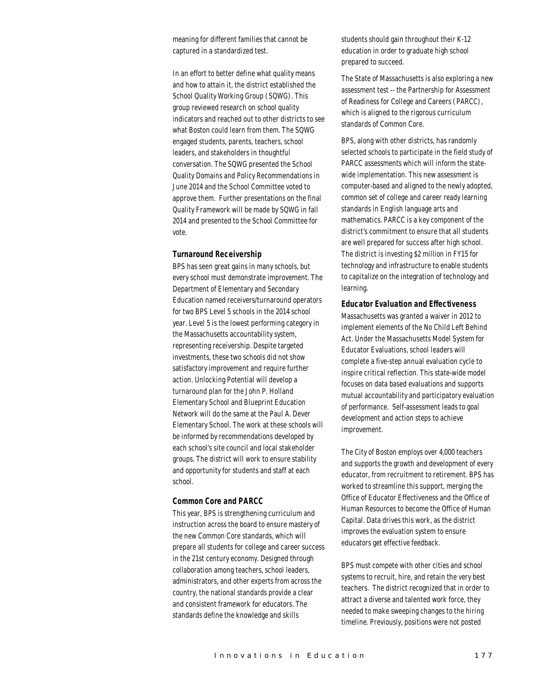meaning for different families that cannot be captured in a standardized test.

In an effort to better define what quality means and how to attain it, the district established the School Quality Working Group (SQWG). This group reviewed research on school quality indicators and reached out to other districts to see what Boston could learn from them. The SQWG engaged students, parents, teachers, school leaders, and stakeholders in thoughtful conversation. The SQWG presented the School Quality Domains and Policy Recommendations in June 2014 and the School Committee voted to approve them. Further presentations on the final Quality Framework will be made by SQWG in fall 2014 and presented to the School Committee for vote.

#### *Turnaround Receivership*

BPS has seen great gains in many schools, but every school must demonstrate improvement. The Department of Elementary and Secondary Education named receivers/turnaround operators for two BPS Level 5 schools in the 2014 school year. Level 5 is the lowest performing category in the Massachusetts accountability system, representing receivership. Despite targeted investments, these two schools did not show satisfactory improvement and require further action. Unlocking Potential will develop a turnaround plan for the John P. Holland Elementary School and Blueprint Education Network will do the same at the Paul A. Dever Elementary School. The work at these schools will be informed by recommendations developed by each school's site council and local stakeholder groups. The district will work to ensure stability and opportunity for students and staff at each school.

#### *Common Core and PARCC*

This year, BPS is strengthening curriculum and instruction across the board to ensure mastery of the new Common Core standards, which will prepare all students for college and career success in the 21st century economy. Designed through collaboration among teachers, school leaders, administrators, and other experts from across the country, the national standards provide a clear and consistent framework for educators. The standards define the knowledge and skills

students should gain throughout their K-12 education in order to graduate high school prepared to succeed.

The State of Massachusetts is also exploring a new assessment test -- the Partnership for Assessment of Readiness for College and Careers (PARCC), which is aligned to the rigorous curriculum standards of Common Core.

BPS, along with other districts, has randomly selected schools to participate in the field study of PARCC assessments which will inform the statewide implementation. This new assessment is computer-based and aligned to the newly adopted, common set of college and career ready learning standards in English language arts and mathematics. PARCC is a key component of the district's commitment to ensure that all students are well prepared for success after high school. The district is investing \$2 million in FY15 for technology and infrastructure to enable students to capitalize on the integration of technology and learning.

#### *Educator Evaluation and Effectiveness*

Massachusetts was granted a waiver in 2012 to implement elements of the No Child Left Behind Act. Under the Massachusetts Model System for Educator Evaluations, school leaders will complete a five-step annual evaluation cycle to inspire critical reflection. This state-wide model focuses on data based evaluations and supports mutual accountability and participatory evaluation of performance. Self-assessment leads to goal development and action steps to achieve improvement.

The City of Boston employs over 4,000 teachers and supports the growth and development of every educator, from recruitment to retirement. BPS has worked to streamline this support, merging the Office of Educator Effectiveness and the Office of Human Resources to become the Office of Human Capital. Data drives this work, as the district improves the evaluation system to ensure educators get effective feedback.

BPS must compete with other cities and school systems to recruit, hire, and retain the very best teachers. The district recognized that in order to attract a diverse and talented work force, they needed to make sweeping changes to the hiring timeline. Previously, positions were not posted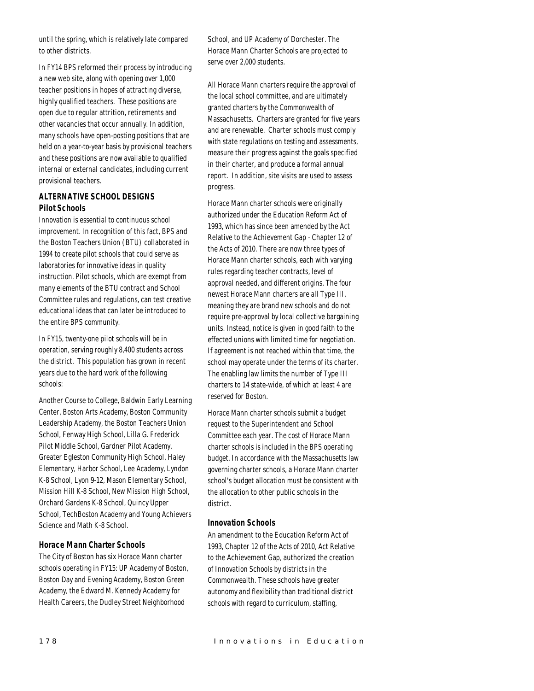until the spring, which is relatively late compared to other districts.

In FY14 BPS reformed their process by introducing a new web site, along with opening over 1,000 teacher positions in hopes of attracting diverse, highly qualified teachers. These positions are open due to regular attrition, retirements and other vacancies that occur annually. In addition, many schools have open-posting positions that are held on a year-to-year basis by provisional teachers and these positions are now available to qualified internal or external candidates, including current provisional teachers.

# *ALTERNATIVE SCHOOL DESIGNS Pilot Schools*

Innovation is essential to continuous school improvement. In recognition of this fact, BPS and the Boston Teachers Union (BTU) collaborated in 1994 to create pilot schools that could serve as laboratories for innovative ideas in quality instruction. Pilot schools, which are exempt from many elements of the BTU contract and School Committee rules and regulations, can test creative educational ideas that can later be introduced to the entire BPS community.

In FY15, twenty-one pilot schools will be in operation, serving roughly 8,400 students across the district. This population has grown in recent years due to the hard work of the following schools:

Another Course to College, Baldwin Early Learning Center, Boston Arts Academy, Boston Community Leadership Academy, the Boston Teachers Union School, Fenway High School, Lilla G. Frederick Pilot Middle School, Gardner Pilot Academy, Greater Egleston Community High School, Haley Elementary, Harbor School, Lee Academy, Lyndon K-8 School, Lyon 9-12, Mason Elementary School, Mission Hill K-8 School, New Mission High School, Orchard Gardens K-8 School, Quincy Upper School, TechBoston Academy and Young Achievers Science and Math K-8 School.

# *Horace Mann Charter Schools*

The City of Boston has six Horace Mann charter schools operating in FY15: UP Academy of Boston, Boston Day and Evening Academy, Boston Green Academy, the Edward M. Kennedy Academy for Health Careers, the Dudley Street Neighborhood

School, and UP Academy of Dorchester. The Horace Mann Charter Schools are projected to serve over 2,000 students.

All Horace Mann charters require the approval of the local school committee, and are ultimately granted charters by the Commonwealth of Massachusetts. Charters are granted for five years and are renewable. Charter schools must comply with state regulations on testing and assessments, measure their progress against the goals specified in their charter, and produce a formal annual report. In addition, site visits are used to assess progress.

Horace Mann charter schools were originally authorized under the Education Reform Act of 1993, which has since been amended by the Act Relative to the Achievement Gap - Chapter 12 of the Acts of 2010. There are now three types of Horace Mann charter schools, each with varying rules regarding teacher contracts, level of approval needed, and different origins. The four newest Horace Mann charters are all Type III, meaning they are brand new schools and do not require pre-approval by local collective bargaining units. Instead, notice is given in good faith to the effected unions with limited time for negotiation. If agreement is not reached within that time, the school may operate under the terms of its charter. The enabling law limits the number of Type III charters to 14 state-wide, of which at least 4 are reserved for Boston.

Horace Mann charter schools submit a budget request to the Superintendent and School Committee each year. The cost of Horace Mann charter schools is included in the BPS operating budget. In accordance with the Massachusetts law governing charter schools, a Horace Mann charter school's budget allocation must be consistent with the allocation to other public schools in the district.

# *Innovation Schools*

An amendment to the Education Reform Act of 1993, Chapter 12 of the Acts of 2010, Act Relative to the Achievement Gap, authorized the creation of Innovation Schools by districts in the Commonwealth. These schools have greater autonomy and flexibility than traditional district schools with regard to curriculum, staffing,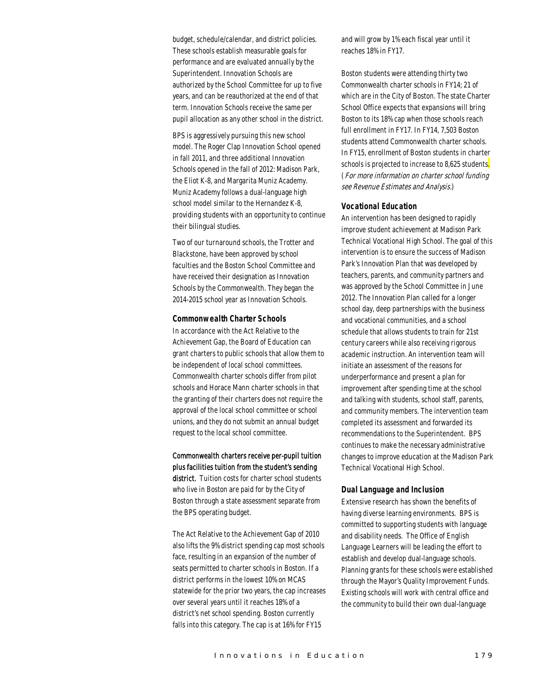budget, schedule/calendar, and district policies. These schools establish measurable goals for performance and are evaluated annually by the Superintendent. Innovation Schools are authorized by the School Committee for up to five years, and can be reauthorized at the end of that term. Innovation Schools receive the same per pupil allocation as any other school in the district.

BPS is aggressively pursuing this new school model. The Roger Clap Innovation School opened in fall 2011, and three additional Innovation Schools opened in the fall of 2012: Madison Park, the Eliot K-8, and Margarita Muniz Academy. Muniz Academy follows a dual-language high school model similar to the Hernandez K-8, providing students with an opportunity to continue their bilingual studies.

Two of our turnaround schools, the Trotter and Blackstone, have been approved by school faculties and the Boston School Committee and have received their designation as Innovation Schools by the Commonwealth. They began the 2014-2015 school year as Innovation Schools.

## *Commonwealth Charter Schools*

In accordance with the Act Relative to the Achievement Gap, the Board of Education can grant charters to public schools that allow them to be independent of local school committees. Commonwealth charter schools differ from pilot schools and Horace Mann charter schools in that the granting of their charters does not require the approval of the local school committee or school unions, and they do not submit an annual budget request to the local school committee.

# Commonwealth charters receive per-pupil tuition plus facilities tuition from the student's sending

district. Tuition costs for charter school students who live in Boston are paid for by the City of Boston through a state assessment separate from the BPS operating budget.

The Act Relative to the Achievement Gap of 2010 also lifts the 9% district spending cap most schools face, resulting in an expansion of the number of seats permitted to charter schools in Boston. If a district performs in the lowest 10% on MCAS statewide for the prior two years, the cap increases over several years until it reaches 18% of a district's net school spending. Boston currently falls into this category. The cap is at 16% for FY15

and will grow by 1% each fiscal year until it reaches 18% in FY17.

Boston students were attending thirty two Commonwealth charter schools in FY14; 21 of which are in the City of Boston. The state Charter School Office expects that expansions will bring Boston to its 18% cap when those schools reach full enrollment in FY17. In FY14, 7,503 Boston students attend Commonwealth charter schools. In FY15, enrollment of Boston students in charter schools is projected to increase to 8,625 students. (For more information on charter school funding see Revenue Estimates and Analysis.)

## *Vocational Education*

An intervention has been designed to rapidly improve student achievement at Madison Park Technical Vocational High School. The goal of this intervention is to ensure the success of Madison Park's Innovation Plan that was developed by teachers, parents, and community partners and was approved by the School Committee in June 2012. The Innovation Plan called for a longer school day, deep partnerships with the business and vocational communities, and a school schedule that allows students to train for 21st century careers while also receiving rigorous academic instruction. An intervention team will initiate an assessment of the reasons for underperformance and present a plan for improvement after spending time at the school and talking with students, school staff, parents, and community members. The intervention team completed its assessment and forwarded its recommendations to the Superintendent. BPS continues to make the necessary administrative changes to improve education at the Madison Park Technical Vocational High School.

#### *Dual Language and Inclusion*

Extensive research has shown the benefits of having diverse learning environments. BPS is committed to supporting students with language and disability needs. The Office of English Language Learners will be leading the effort to establish and develop dual-language schools. Planning grants for these schools were established through the Mayor's Quality Improvement Funds. Existing schools will work with central office and the community to build their own dual-language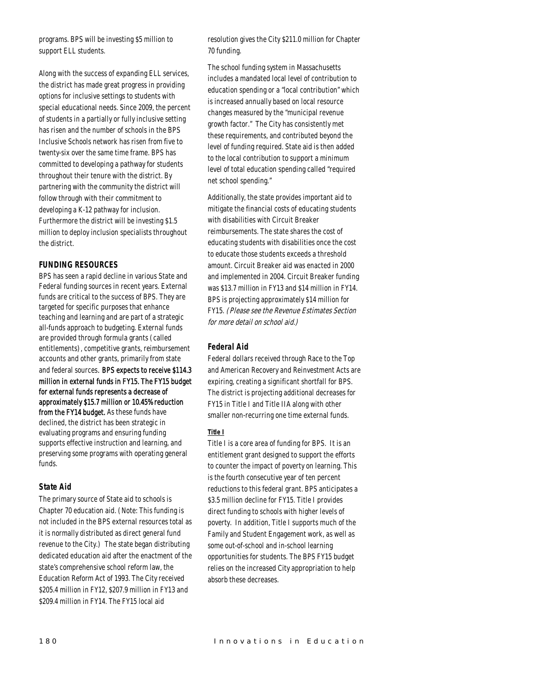programs. BPS will be investing \$5 million to support ELL students.

Along with the success of expanding ELL services, the district has made great progress in providing options for inclusive settings to students with special educational needs. Since 2009, the percent of students in a partially or fully inclusive setting has risen and the number of schools in the BPS Inclusive Schools network has risen from five to twenty-six over the same time frame. BPS has committed to developing a pathway for students throughout their tenure with the district. By partnering with the community the district will follow through with their commitment to developing a K-12 pathway for inclusion. Furthermore the district will be investing \$1.5 million to deploy inclusion specialists throughout the district.

# *FUNDING RESOURCES*

BPS has seen a rapid decline in various State and Federal funding sources in recent years. External funds are critical to the success of BPS. They are targeted for specific purposes that enhance teaching and learning and are part of a strategic all-funds approach to budgeting. External funds are provided through formula grants (called entitlements), competitive grants, reimbursement accounts and other grants, primarily from state and federal sources. BPS expects to receive \$114.3 million in external funds in FY15. The FY15 budget for external funds represents a decrease of approximately \$15.7 million or 10.45% reduction from the FY14 budget. As these funds have declined, the district has been strategic in evaluating programs and ensuring funding supports effective instruction and learning, and preserving some programs with operating general funds.

## *State Aid*

The primary source of State aid to schools is Chapter 70 education aid. (Note: This funding is not included in the BPS external resources total as it is normally distributed as direct general fund revenue to the City.) The state began distributing dedicated education aid after the enactment of the state's comprehensive school reform law, the Education Reform Act of 1993. The City received \$205.4 million in FY12, \$207.9 million in FY13 and \$209.4 million in FY14. The FY15 local aid

resolution gives the City \$211.0 million for Chapter 70 funding.

The school funding system in Massachusetts includes a mandated local level of contribution to education spending or a "local contribution" which is increased annually based on local resource changes measured by the "municipal revenue growth factor." The City has consistently met these requirements, and contributed beyond the level of funding required. State aid is then added to the local contribution to support a minimum level of total education spending called "required net school spending."

Additionally, the state provides important aid to mitigate the financial costs of educating students with disabilities with Circuit Breaker reimbursements. The state shares the cost of educating students with disabilities once the cost to educate those students exceeds a threshold amount. Circuit Breaker aid was enacted in 2000 and implemented in 2004. Circuit Breaker funding was \$13.7 million in FY13 and \$14 million in FY14. BPS is projecting approximately \$14 million for FY15. (Please see the Revenue Estimates Section for more detail on school aid.)

## *Federal Aid*

Federal dollars received through Race to the Top and American Recovery and Reinvestment Acts are expiring, creating a significant shortfall for BPS. The district is projecting additional decreases for FY15 in Title I and Title IIA along with other smaller non-recurring one time external funds.

## *Title I*

Title I is a core area of funding for BPS. It is an entitlement grant designed to support the efforts to counter the impact of poverty on learning. This is the fourth consecutive year of ten percent reductions to this federal grant. BPS anticipates a \$3.5 million decline for FY15. Title I provides direct funding to schools with higher levels of poverty. In addition, Title I supports much of the Family and Student Engagement work, as well as some out-of-school and in-school learning opportunities for students. The BPS FY15 budget relies on the increased City appropriation to help absorb these decreases.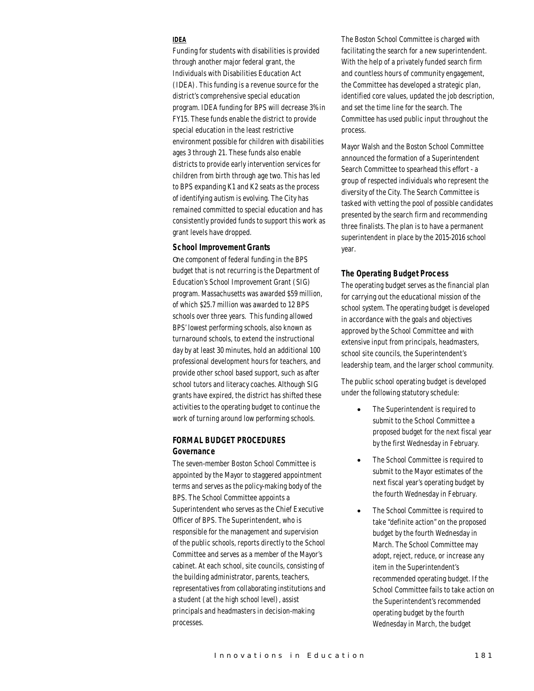# *IDEA*

Funding for students with disabilities is provided through another major federal grant, the Individuals with Disabilities Education Act (IDEA). This funding is a revenue source for the district's comprehensive special education program. IDEA funding for BPS will decrease 3% in FY15. These funds enable the district to provide special education in the least restrictive environment possible for children with disabilities ages 3 through 21. These funds also enable districts to provide early intervention services for children from birth through age two. This has led to BPS expanding K1 and K2 seats as the process of identifying autism is evolving. The City has remained committed to special education and has consistently provided funds to support this work as grant levels have dropped.

#### *School Improvement Grants*

One component of federal funding in the BPS budget that is not recurring is the Department of Education's School Improvement Grant (SIG) program. Massachusetts was awarded \$59 million, of which \$25.7 million was awarded to 12 BPS schools over three years. This funding allowed BPS' lowest performing schools, also known as turnaround schools, to extend the instructional day by at least 30 minutes, hold an additional 100 professional development hours for teachers, and provide other school based support, such as after school tutors and literacy coaches. Although SIG grants have expired, the district has shifted these activities to the operating budget to continue the work of turning around low performing schools.

# *FORMAL BUDGET PROCEDURES Governance*

The seven-member Boston School Committee is appointed by the Mayor to staggered appointment terms and serves as the policy-making body of the BPS. The School Committee appoints a Superintendent who serves as the Chief Executive Officer of BPS. The Superintendent, who is responsible for the management and supervision of the public schools, reports directly to the School Committee and serves as a member of the Mayor's cabinet. At each school, site councils, consisting of the building administrator, parents, teachers, representatives from collaborating institutions and a student (at the high school level), assist principals and headmasters in decision-making processes.

The Boston School Committee is charged with facilitating the search for a new superintendent. With the help of a privately funded search firm and countless hours of community engagement, the Committee has developed a strategic plan, identified core values, updated the job description, and set the time line for the search. The Committee has used public input throughout the process.

Mayor Walsh and the Boston School Committee announced the formation of a Superintendent Search Committee to spearhead this effort - a group of respected individuals who represent the diversity of the City. The Search Committee is tasked with vetting the pool of possible candidates presented by the search firm and recommending three finalists. The plan is to have a permanent superintendent in place by the 2015-2016 school year.

#### *The Operating Budget Process*

The operating budget serves as the financial plan for carrying out the educational mission of the school system. The operating budget is developed in accordance with the goals and objectives approved by the School Committee and with extensive input from principals, headmasters, school site councils, the Superintendent's leadership team, and the larger school community.

The public school operating budget is developed under the following statutory schedule:

- The Superintendent is required to submit to the School Committee a proposed budget for the next fiscal year by the first Wednesday in February.
- The School Committee is required to submit to the Mayor estimates of the next fiscal year's operating budget by the fourth Wednesday in February.
- The School Committee is required to take "definite action" on the proposed budget by the fourth Wednesday in March. The School Committee may adopt, reject, reduce, or increase any item in the Superintendent's recommended operating budget. If the School Committee fails to take action on the Superintendent's recommended operating budget by the fourth Wednesday in March, the budget